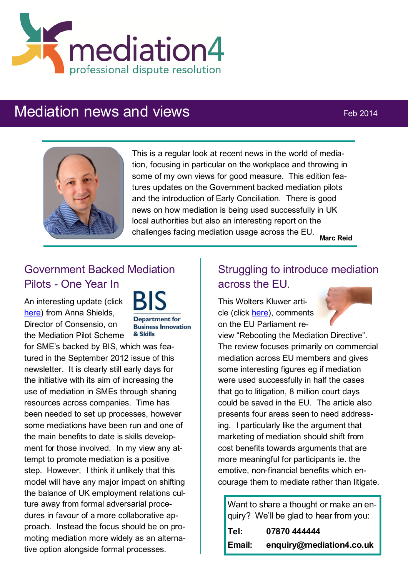

# Mediation news and views **Feb 2014**



This is a regular look at recent news in the world of mediation, focusing in particular on the workplace and throwing in some of my own views for good measure. This edition features updates on the Government backed mediation pilots and the introduction of Early Conciliation. There is good news on how mediation is being used successfully in UK local authorities but also an interesting report on the challenges facing mediation usage across the EU. **Marc Reid**

# Government Backed Mediation Pilots - One Year In

An interesting update (click [here\)](http://www.hrzone.com/feature/strategy/government-backed-mediation-pilots-%E2%80%93-one-year/142741) from Anna Shields, Director of Consensio, on the Mediation Pilot Scheme

**Department** for **Business Innovation** & Skills

for SME's backed by BIS, which was featured in the September 2012 issue of this newsletter. It is clearly still early days for the initiative with its aim of increasing the use of mediation in SMEs through sharing resources across companies. Time has been needed to set up processes, however some mediations have been run and one of the main benefits to date is skills development for those involved. In my view any attempt to promote mediation is a positive step. However, I think it unlikely that this model will have any major impact on shifting the balance of UK employment relations culture away from formal adversarial procedures in favour of a more collaborative approach. Instead the focus should be on promoting mediation more widely as an alternative option alongside formal processes.

# Struggling to introduce mediation across the EU.

This Wolters Kluwer article (click [here\),](http://kluwermediationblog.com/2014/02/06/what-went-wrong-with-mediation/) comments on the EU Parliament re-



view "Rebooting the Mediation Directive". The review focuses primarily on commercial mediation across EU members and gives some interesting figures eg if mediation were used successfully in half the cases that go to litigation, 8 million court days could be saved in the EU. The article also presents four areas seen to need addressing. I particularly like the argument that marketing of mediation should shift from cost benefits towards arguments that are more meaningful for participants ie. the emotive, non-financial benefits which encourage them to mediate rather than litigate.

Want to share a thought or make an enquiry? We'll be glad to hear from you:

| Tel:   | 07870 444444             |
|--------|--------------------------|
| Email: | enquiry@mediation4.co.uk |